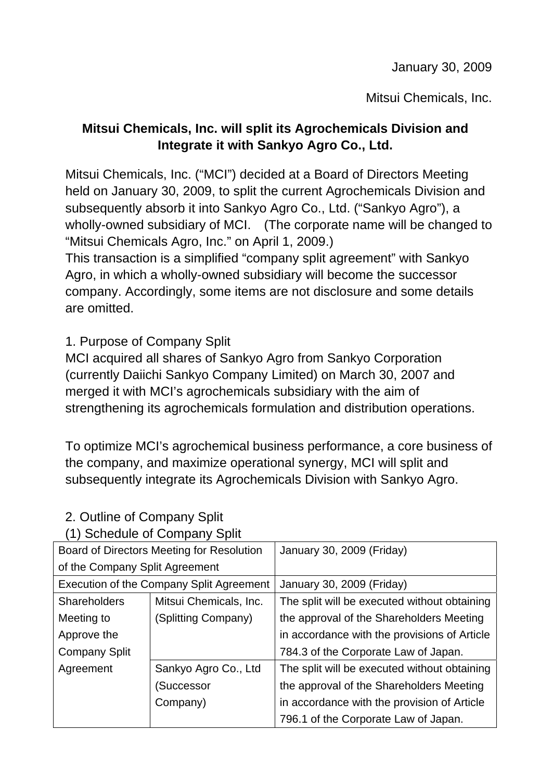January 30, 2009

Mitsui Chemicals, Inc.

## **Mitsui Chemicals, Inc. will split its Agrochemicals Division and Integrate it with Sankyo Agro Co., Ltd.**

Mitsui Chemicals, Inc. ("MCI") decided at a Board of Directors Meeting held on January 30, 2009, to split the current Agrochemicals Division and subsequently absorb it into Sankyo Agro Co., Ltd. ("Sankyo Agro"), a wholly-owned subsidiary of MCI. (The corporate name will be changed to "Mitsui Chemicals Agro, Inc." on April 1, 2009.)

This transaction is a simplified "company split agreement" with Sankyo Agro, in which a wholly-owned subsidiary will become the successor company. Accordingly, some items are not disclosure and some details are omitted.

1. Purpose of Company Split

MCI acquired all shares of Sankyo Agro from Sankyo Corporation (currently Daiichi Sankyo Company Limited) on March 30, 2007 and merged it with MCI's agrochemicals subsidiary with the aim of strengthening its agrochemicals formulation and distribution operations.

To optimize MCI's agrochemical business performance, a core business of the company, and maximize operational synergy, MCI will split and subsequently integrate its Agrochemicals Division with Sankyo Agro.

| Board of Directors Meeting for Resolution       |                        | January 30, 2009 (Friday)                    |
|-------------------------------------------------|------------------------|----------------------------------------------|
| of the Company Split Agreement                  |                        |                                              |
| <b>Execution of the Company Split Agreement</b> |                        | January 30, 2009 (Friday)                    |
| <b>Shareholders</b>                             | Mitsui Chemicals, Inc. | The split will be executed without obtaining |
| Meeting to                                      | (Splitting Company)    | the approval of the Shareholders Meeting     |
| Approve the                                     |                        | in accordance with the provisions of Article |
| <b>Company Split</b>                            |                        | 784.3 of the Corporate Law of Japan.         |
| Agreement                                       | Sankyo Agro Co., Ltd   | The split will be executed without obtaining |
|                                                 | (Successor             | the approval of the Shareholders Meeting     |
|                                                 | Company)               | in accordance with the provision of Article  |
|                                                 |                        | 796.1 of the Corporate Law of Japan.         |

## 2. Outline of Company Split

(1) Schedule of Company Split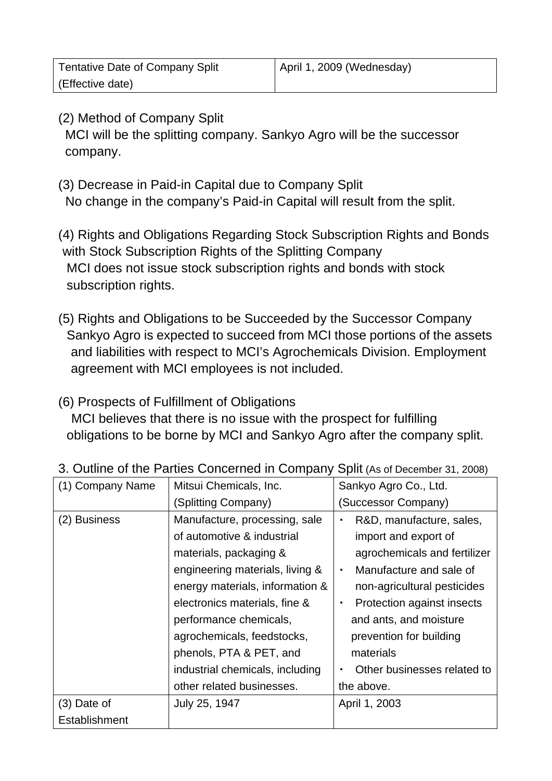| <b>Tentative Date of Company Split</b> | April 1, 2009 (Wednesday) |
|----------------------------------------|---------------------------|
| (Effective date)                       |                           |

- (2) Method of Company Split MCI will be the splitting company. Sankyo Agro will be the successor company.
- (3) Decrease in Paid-in Capital due to Company Split No change in the company's Paid-in Capital will result from the split.
- (4) Rights and Obligations Regarding Stock Subscription Rights and Bonds with Stock Subscription Rights of the Splitting Company MCI does not issue stock subscription rights and bonds with stock subscription rights.
- (5) Rights and Obligations to be Succeeded by the Successor Company Sankyo Agro is expected to succeed from MCI those portions of the assets and liabilities with respect to MCI's Agrochemicals Division. Employment agreement with MCI employees is not included.

#### (6) Prospects of Fulfillment of Obligations

 MCI believes that there is no issue with the prospect for fulfilling obligations to be borne by MCI and Sankyo Agro after the company split.

| (1) Company Name | Mitsui Chemicals, Inc.          | Sankyo Agro Co., Ltd.                         |
|------------------|---------------------------------|-----------------------------------------------|
|                  | (Splitting Company)             | (Successor Company)                           |
| (2) Business     | Manufacture, processing, sale   | R&D, manufacture, sales,<br>$\blacksquare$    |
|                  | of automotive & industrial      | import and export of                          |
|                  | materials, packaging &          | agrochemicals and fertilizer                  |
|                  | engineering materials, living & | Manufacture and sale of<br>$\blacksquare$     |
|                  | energy materials, information & | non-agricultural pesticides                   |
|                  | electronics materials, fine &   | Protection against insects<br>$\blacksquare$  |
|                  | performance chemicals,          | and ants, and moisture                        |
|                  | agrochemicals, feedstocks,      | prevention for building                       |
|                  | phenols, PTA & PET, and         | materials                                     |
|                  | industrial chemicals, including | Other businesses related to<br>$\blacksquare$ |
|                  | other related businesses.       | the above.                                    |
| $(3)$ Date of    | July 25, 1947                   | April 1, 2003                                 |
| Establishment    |                                 |                                               |

#### 3. Outline of the Parties Concerned in Company Split (As of December 31, 2008)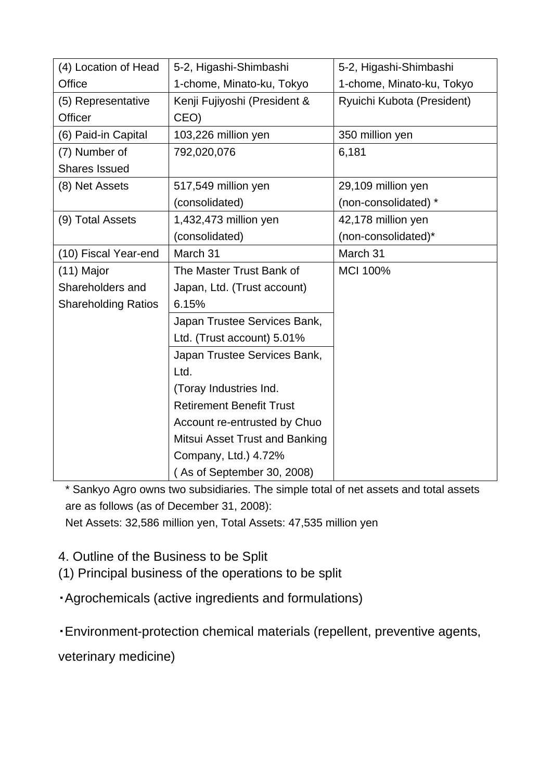| (4) Location of Head       | 5-2, Higashi-Shimbashi          | 5-2, Higashi-Shimbashi     |
|----------------------------|---------------------------------|----------------------------|
| Office                     | 1-chome, Minato-ku, Tokyo       | 1-chome, Minato-ku, Tokyo  |
| (5) Representative         | Kenji Fujiyoshi (President &    | Ryuichi Kubota (President) |
| Officer                    | CEO)                            |                            |
| (6) Paid-in Capital        | 103,226 million yen             | 350 million yen            |
| (7) Number of              | 792,020,076                     | 6,181                      |
| <b>Shares Issued</b>       |                                 |                            |
| (8) Net Assets             | 517,549 million yen             | 29,109 million yen         |
|                            | (consolidated)                  | (non-consolidated) *       |
| (9) Total Assets           | 1,432,473 million yen           | 42,178 million yen         |
|                            | (consolidated)                  | (non-consolidated)*        |
| (10) Fiscal Year-end       | March 31                        | March 31                   |
| $(11)$ Major               | The Master Trust Bank of        | <b>MCI 100%</b>            |
| Shareholders and           | Japan, Ltd. (Trust account)     |                            |
| <b>Shareholding Ratios</b> | 6.15%                           |                            |
|                            | Japan Trustee Services Bank,    |                            |
|                            | Ltd. (Trust account) 5.01%      |                            |
|                            | Japan Trustee Services Bank,    |                            |
|                            | Ltd.                            |                            |
|                            | (Toray Industries Ind.          |                            |
|                            | <b>Retirement Benefit Trust</b> |                            |
|                            | Account re-entrusted by Chuo    |                            |
|                            | Mitsui Asset Trust and Banking  |                            |
|                            | Company, Ltd.) 4.72%            |                            |
|                            | (As of September 30, 2008)      |                            |

\* Sankyo Agro owns two subsidiaries. The simple total of net assets and total assets are as follows (as of December 31, 2008): Net Assets: 32,586 million yen, Total Assets: 47,535 million yen

- 4. Outline of the Business to be Split
- (1) Principal business of the operations to be split
- ・Agrochemicals (active ingredients and formulations)
- ・Environment-protection chemical materials (repellent, preventive agents,

veterinary medicine)